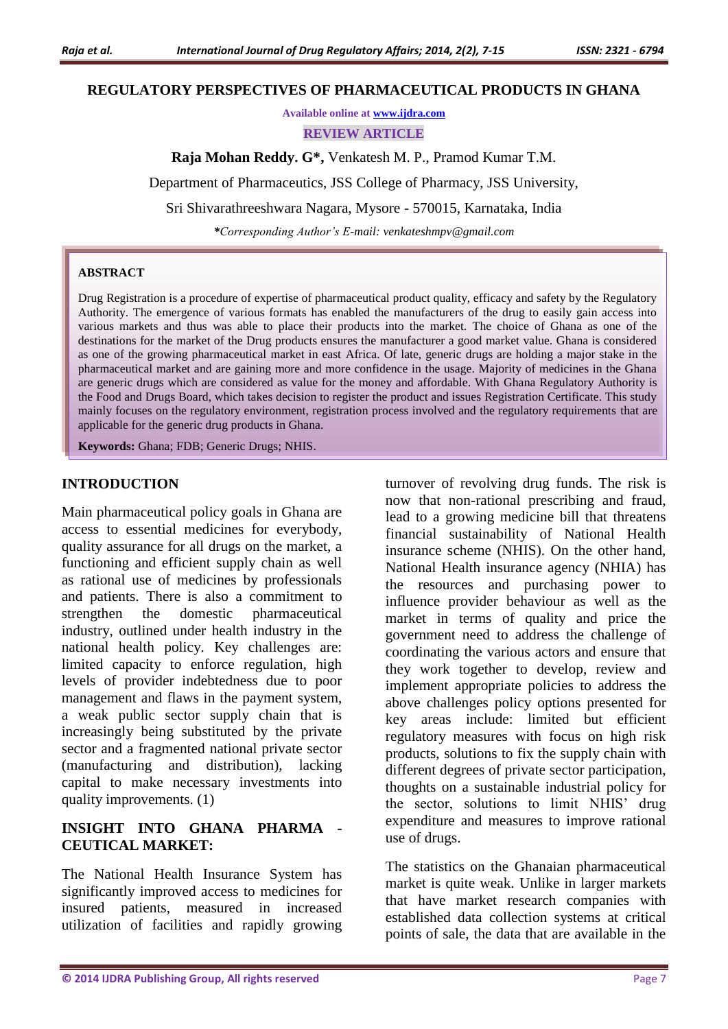#### **REGULATORY PERSPECTIVES OF PHARMACEUTICAL PRODUCTS IN GHANA**

**Available online at [www.ijdra.com](http://www.ijdra.com/)**

**REVIEW ARTICLE**

**Raja Mohan Reddy. G\*,** Venkatesh M. P., Pramod Kumar T.M.

Department of Pharmaceutics, JSS College of Pharmacy, JSS University,

Sri Shivarathreeshwara Nagara, Mysore - 570015, Karnataka, India

*\*Corresponding Author's E-mail: venkateshmpv@gmail.com*

#### **ABSTRACT**

Drug Registration is a procedure of expertise of pharmaceutical product quality, efficacy and safety by the Regulatory Authority. The emergence of various formats has enabled the manufacturers of the drug to easily gain access into various markets and thus was able to place their products into the market. The choice of Ghana as one of the destinations for the market of the Drug products ensures the manufacturer a good market value. Ghana is considered as one of the growing pharmaceutical market in east Africa. Of late, generic drugs are holding a major stake in the pharmaceutical market and are gaining more and more confidence in the usage. Majority of medicines in the Ghana are generic drugs which are considered as value for the money and affordable. With Ghana Regulatory Authority is the Food and Drugs Board, which takes decision to register the product and issues Registration Certificate. This study mainly focuses on the regulatory environment, registration process involved and the regulatory requirements that are applicable for the generic drug products in Ghana.

**Keywords:** Ghana; FDB; Generic Drugs; NHIS.

### **INTRODUCTION**

Main pharmaceutical policy goals in Ghana are access to essential medicines for everybody, quality assurance for all drugs on the market, a functioning and efficient supply chain as well as rational use of medicines by professionals and patients. There is also a commitment to strengthen the domestic pharmaceutical industry, outlined under health industry in the national health policy. Key challenges are: limited capacity to enforce regulation, high levels of provider indebtedness due to poor management and flaws in the payment system, a weak public sector supply chain that is increasingly being substituted by the private sector and a fragmented national private sector (manufacturing and distribution), lacking capital to make necessary investments into quality improvements. (1)

## **INSIGHT INTO GHANA PHARMA - CEUTICAL MARKET:**

The National Health Insurance System has significantly improved access to medicines for insured patients, measured in increased utilization of facilities and rapidly growing

turnover of revolving drug funds. The risk is now that non-rational prescribing and fraud, lead to a growing medicine bill that threatens financial sustainability of National Health insurance scheme (NHIS). On the other hand, National Health insurance agency (NHIA) has the resources and purchasing power to influence provider behaviour as well as the market in terms of quality and price the government need to address the challenge of coordinating the various actors and ensure that they work together to develop, review and implement appropriate policies to address the above challenges policy options presented for key areas include: limited but efficient regulatory measures with focus on high risk products, solutions to fix the supply chain with different degrees of private sector participation, thoughts on a sustainable industrial policy for the sector, solutions to limit NHIS' drug expenditure and measures to improve rational use of drugs.

The statistics on the Ghanaian pharmaceutical market is quite weak. Unlike in larger markets that have market research companies with established data collection systems at critical points of sale, the data that are available in the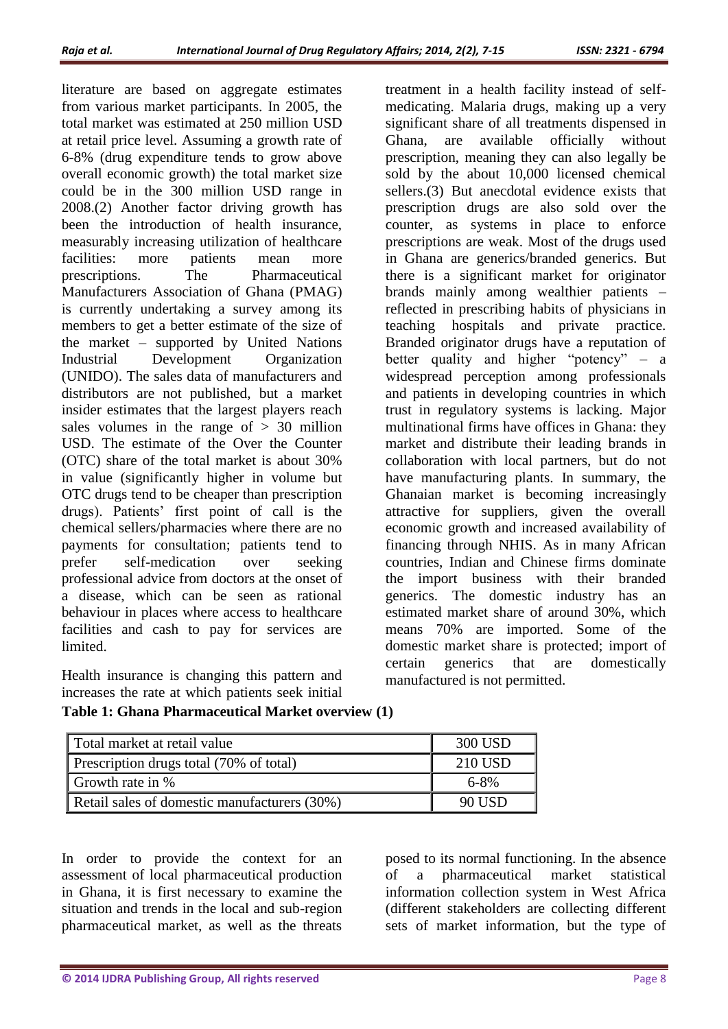literature are based on aggregate estimates from various market participants. In 2005, the total market was estimated at 250 million USD at retail price level. Assuming a growth rate of 6-8% (drug expenditure tends to grow above overall economic growth) the total market size could be in the 300 million USD range in 2008.(2) Another factor driving growth has been the introduction of health insurance. measurably increasing utilization of healthcare facilities: more patients mean more prescriptions. The Pharmaceutical Manufacturers Association of Ghana (PMAG) is currently undertaking a survey among its members to get a better estimate of the size of the market – supported by United Nations Industrial Development Organization (UNIDO). The sales data of manufacturers and distributors are not published, but a market insider estimates that the largest players reach sales volumes in the range of  $> 30$  million USD. The estimate of the Over the Counter (OTC) share of the total market is about 30% in value (significantly higher in volume but OTC drugs tend to be cheaper than prescription drugs). Patients' first point of call is the chemical sellers/pharmacies where there are no payments for consultation; patients tend to prefer self-medication over seeking professional advice from doctors at the onset of a disease, which can be seen as rational behaviour in places where access to healthcare facilities and cash to pay for services are limited.

Health insurance is changing this pattern and increases the rate at which patients seek initial

treatment in a health facility instead of selfmedicating. Malaria drugs, making up a very significant share of all treatments dispensed in Ghana, are available officially without prescription, meaning they can also legally be sold by the about 10,000 licensed chemical sellers.(3) But anecdotal evidence exists that prescription drugs are also sold over the counter, as systems in place to enforce prescriptions are weak. Most of the drugs used in Ghana are generics/branded generics. But there is a significant market for originator brands mainly among wealthier patients – reflected in prescribing habits of physicians in teaching hospitals and private practice. Branded originator drugs have a reputation of better quality and higher "potency" – a widespread perception among professionals and patients in developing countries in which trust in regulatory systems is lacking. Major multinational firms have offices in Ghana: they market and distribute their leading brands in collaboration with local partners, but do not have manufacturing plants. In summary, the Ghanaian market is becoming increasingly attractive for suppliers, given the overall economic growth and increased availability of financing through NHIS. As in many African countries, Indian and Chinese firms dominate the import business with their branded generics. The domestic industry has an estimated market share of around 30%, which means 70% are imported. Some of the domestic market share is protected; import of certain generics that are domestically manufactured is not permitted.

|  | Table 1: Ghana Pharmaceutical Market overview (1) |  |  |
|--|---------------------------------------------------|--|--|
|  |                                                   |  |  |

| Total market at retail value                 | 300 USD   |
|----------------------------------------------|-----------|
| Prescription drugs total (70% of total)      | 210 USD   |
| Growth rate in %                             | $6 - 8\%$ |
| Retail sales of domestic manufacturers (30%) | 90 USD    |

In order to provide the context for an assessment of local pharmaceutical production in Ghana, it is first necessary to examine the situation and trends in the local and sub-region pharmaceutical market, as well as the threats

posed to its normal functioning. In the absence of a pharmaceutical market statistical information collection system in West Africa (different stakeholders are collecting different sets of market information, but the type of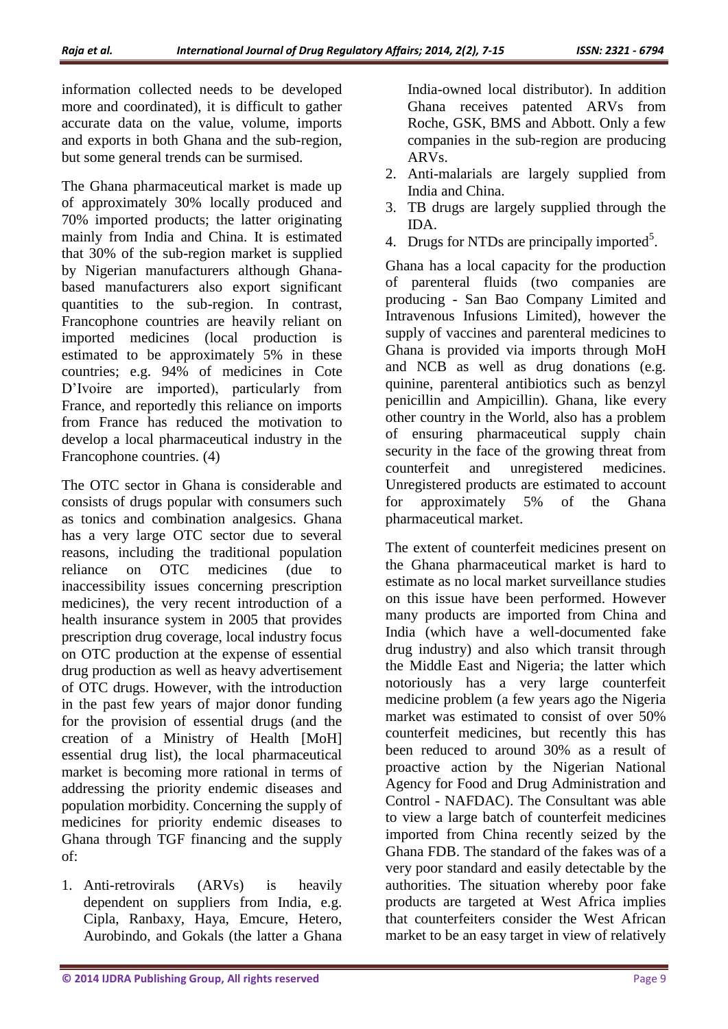information collected needs to be developed more and coordinated), it is difficult to gather accurate data on the value, volume, imports and exports in both Ghana and the sub-region, but some general trends can be surmised.

The Ghana pharmaceutical market is made up of approximately 30% locally produced and 70% imported products; the latter originating mainly from India and China. It is estimated that 30% of the sub-region market is supplied by Nigerian manufacturers although Ghanabased manufacturers also export significant quantities to the sub-region. In contrast, Francophone countries are heavily reliant on imported medicines (local production is estimated to be approximately 5% in these countries; e.g. 94% of medicines in Cote D'Ivoire are imported), particularly from France, and reportedly this reliance on imports from France has reduced the motivation to develop a local pharmaceutical industry in the Francophone countries. (4)

The OTC sector in Ghana is considerable and consists of drugs popular with consumers such as tonics and combination analgesics. Ghana has a very large OTC sector due to several reasons, including the traditional population reliance on OTC medicines (due to inaccessibility issues concerning prescription medicines), the very recent introduction of a health insurance system in 2005 that provides prescription drug coverage, local industry focus on OTC production at the expense of essential drug production as well as heavy advertisement of OTC drugs. However, with the introduction in the past few years of major donor funding for the provision of essential drugs (and the creation of a Ministry of Health [MoH] essential drug list), the local pharmaceutical market is becoming more rational in terms of addressing the priority endemic diseases and population morbidity. Concerning the supply of medicines for priority endemic diseases to Ghana through TGF financing and the supply of:

1. Anti-retrovirals (ARVs) is heavily dependent on suppliers from India, e.g. Cipla, Ranbaxy, Haya, Emcure, Hetero, Aurobindo, and Gokals (the latter a Ghana

India-owned local distributor). In addition Ghana receives patented ARVs from Roche, GSK, BMS and Abbott. Only a few companies in the sub-region are producing ARVs.

- 2. Anti-malarials are largely supplied from India and China.
- 3. TB drugs are largely supplied through the IDA.
- 4. Drugs for NTDs are principally imported<sup>5</sup>.

Ghana has a local capacity for the production of parenteral fluids (two companies are producing - San Bao Company Limited and Intravenous Infusions Limited), however the supply of vaccines and parenteral medicines to Ghana is provided via imports through MoH and NCB as well as drug donations (e.g. quinine, parenteral antibiotics such as benzyl penicillin and Ampicillin). Ghana, like every other country in the World, also has a problem of ensuring pharmaceutical supply chain security in the face of the growing threat from counterfeit and unregistered medicines. Unregistered products are estimated to account for approximately 5% of the Ghana pharmaceutical market.

The extent of counterfeit medicines present on the Ghana pharmaceutical market is hard to estimate as no local market surveillance studies on this issue have been performed. However many products are imported from China and India (which have a well-documented fake drug industry) and also which transit through the Middle East and Nigeria; the latter which notoriously has a very large counterfeit medicine problem (a few years ago the Nigeria market was estimated to consist of over 50% counterfeit medicines, but recently this has been reduced to around 30% as a result of proactive action by the Nigerian National Agency for Food and Drug Administration and Control - NAFDAC). The Consultant was able to view a large batch of counterfeit medicines imported from China recently seized by the Ghana FDB. The standard of the fakes was of a very poor standard and easily detectable by the authorities. The situation whereby poor fake products are targeted at West Africa implies that counterfeiters consider the West African market to be an easy target in view of relatively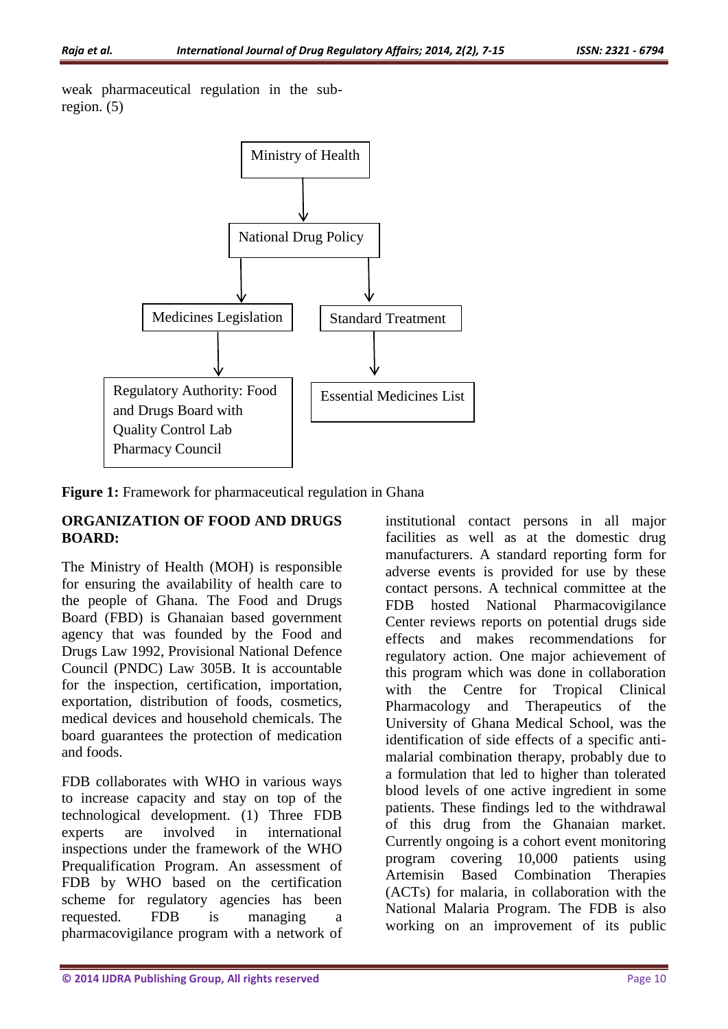weak pharmaceutical regulation in the subregion. (5)



**Figure 1:** Framework for pharmaceutical regulation in Ghana

## **ORGANIZATION OF FOOD AND DRUGS BOARD:**

The Ministry of Health (MOH) is responsible for ensuring the availability of health care to the people of Ghana. The Food and Drugs Board (FBD) is Ghanaian based government agency that was founded by the Food and Drugs Law 1992, Provisional National Defence Council (PNDC) Law 305B. It is accountable for the inspection, certification, importation, exportation, distribution of foods, cosmetics, medical devices and household chemicals. The board guarantees the protection of medication and foods.

FDB collaborates with WHO in various ways to increase capacity and stay on top of the technological development. (1) Three FDB experts are involved in international inspections under the framework of the WHO Prequalification Program. An assessment of FDB by WHO based on the certification scheme for regulatory agencies has been requested. FDB is managing a pharmacovigilance program with a network of institutional contact persons in all major facilities as well as at the domestic drug manufacturers. A standard reporting form for adverse events is provided for use by these contact persons. A technical committee at the FDB hosted National Pharmacovigilance Center reviews reports on potential drugs side effects and makes recommendations for regulatory action. One major achievement of this program which was done in collaboration with the Centre for Tropical Clinical Pharmacology and Therapeutics of the University of Ghana Medical School, was the identification of side effects of a specific antimalarial combination therapy, probably due to a formulation that led to higher than tolerated blood levels of one active ingredient in some patients. These findings led to the withdrawal of this drug from the Ghanaian market. Currently ongoing is a cohort event monitoring program covering 10,000 patients using Artemisin Based Combination Therapies (ACTs) for malaria, in collaboration with the National Malaria Program. The FDB is also working on an improvement of its public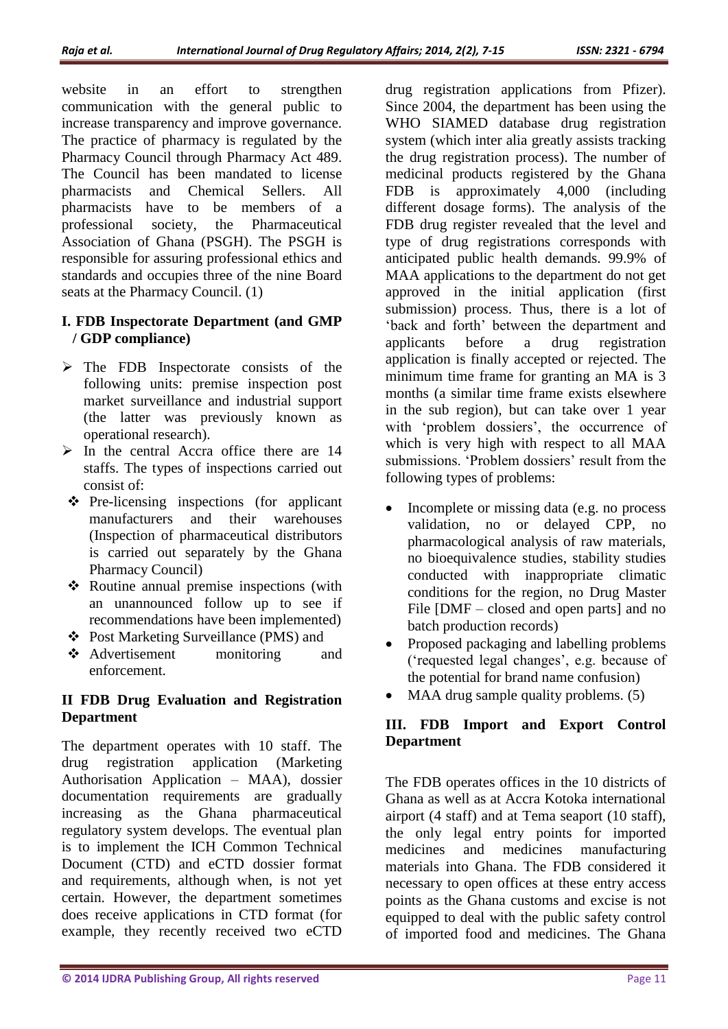website in an effort to strengthen communication with the general public to increase transparency and improve governance. The practice of pharmacy is regulated by the Pharmacy Council through Pharmacy Act 489. The Council has been mandated to license pharmacists and Chemical Sellers. All pharmacists have to be members of a professional society, the Pharmaceutical Association of Ghana (PSGH). The PSGH is responsible for assuring professional ethics and standards and occupies three of the nine Board seats at the Pharmacy Council. (1)

## **I. FDB Inspectorate Department (and GMP / GDP compliance)**

- $\triangleright$  The FDB Inspectorate consists of the following units: premise inspection post market surveillance and industrial support (the latter was previously known as operational research).
- $\triangleright$  In the central Accra office there are 14 staffs. The types of inspections carried out consist of:
- $\triangle$  Pre-licensing inspections (for applicant manufacturers and their warehouses (Inspection of pharmaceutical distributors is carried out separately by the Ghana Pharmacy Council)
- Routine annual premise inspections (with an unannounced follow up to see if recommendations have been implemented)
- Post Marketing Surveillance (PMS) and
- Advertisement monitoring and enforcement.

## **II FDB Drug Evaluation and Registration Department**

The department operates with 10 staff. The drug registration application (Marketing Authorisation Application – MAA), dossier documentation requirements are gradually increasing as the Ghana pharmaceutical regulatory system develops. The eventual plan is to implement the ICH Common Technical Document (CTD) and eCTD dossier format and requirements, although when, is not yet certain. However, the department sometimes does receive applications in CTD format (for example, they recently received two eCTD

drug registration applications from Pfizer). Since 2004, the department has been using the WHO SIAMED database drug registration system (which inter alia greatly assists tracking the drug registration process). The number of medicinal products registered by the Ghana FDB is approximately 4,000 (including different dosage forms). The analysis of the FDB drug register revealed that the level and type of drug registrations corresponds with anticipated public health demands. 99.9% of MAA applications to the department do not get approved in the initial application (first submission) process. Thus, there is a lot of 'back and forth' between the department and applicants before a drug registration application is finally accepted or rejected. The minimum time frame for granting an MA is 3 months (a similar time frame exists elsewhere in the sub region), but can take over 1 year with 'problem dossiers', the occurrence of which is very high with respect to all MAA submissions. 'Problem dossiers' result from the following types of problems:

- Incomplete or missing data (e.g. no process validation, no or delayed CPP, no pharmacological analysis of raw materials, no bioequivalence studies, stability studies conducted with inappropriate climatic conditions for the region, no Drug Master File [DMF – closed and open parts] and no batch production records)
- Proposed packaging and labelling problems ('requested legal changes', e.g. because of the potential for brand name confusion)
- MAA drug sample quality problems. (5)

## **III. FDB Import and Export Control Department**

The FDB operates offices in the 10 districts of Ghana as well as at Accra Kotoka international airport (4 staff) and at Tema seaport (10 staff), the only legal entry points for imported medicines and medicines manufacturing materials into Ghana. The FDB considered it necessary to open offices at these entry access points as the Ghana customs and excise is not equipped to deal with the public safety control of imported food and medicines. The Ghana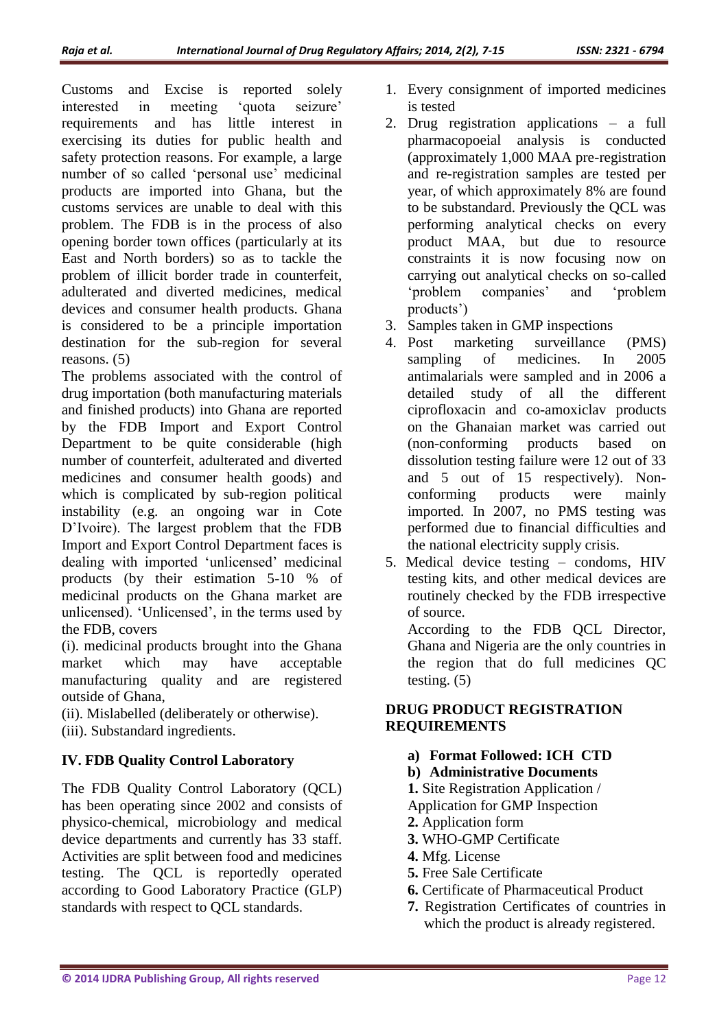Customs and Excise is reported solely interested in meeting 'quota seizure' requirements and has little interest in exercising its duties for public health and safety protection reasons. For example, a large number of so called 'personal use' medicinal products are imported into Ghana, but the customs services are unable to deal with this problem. The FDB is in the process of also opening border town offices (particularly at its East and North borders) so as to tackle the problem of illicit border trade in counterfeit, adulterated and diverted medicines, medical devices and consumer health products. Ghana is considered to be a principle importation destination for the sub-region for several reasons. (5)

The problems associated with the control of drug importation (both manufacturing materials and finished products) into Ghana are reported by the FDB Import and Export Control Department to be quite considerable (high number of counterfeit, adulterated and diverted medicines and consumer health goods) and which is complicated by sub-region political instability (e.g. an ongoing war in Cote D'Ivoire). The largest problem that the FDB Import and Export Control Department faces is dealing with imported 'unlicensed' medicinal products (by their estimation 5-10 % of medicinal products on the Ghana market are unlicensed). 'Unlicensed', in the terms used by the FDB, covers

(i). medicinal products brought into the Ghana market which may have acceptable manufacturing quality and are registered outside of Ghana,

(ii). Mislabelled (deliberately or otherwise).

(iii). Substandard ingredients.

## **IV. FDB Quality Control Laboratory**

The FDB Quality Control Laboratory (QCL) has been operating since 2002 and consists of physico-chemical, microbiology and medical device departments and currently has 33 staff. Activities are split between food and medicines testing. The QCL is reportedly operated according to Good Laboratory Practice (GLP) standards with respect to QCL standards.

- 1. Every consignment of imported medicines is tested
- 2. Drug registration applications a full pharmacopoeial analysis is conducted (approximately 1,000 MAA pre-registration and re-registration samples are tested per year, of which approximately 8% are found to be substandard. Previously the QCL was performing analytical checks on every product MAA, but due to resource constraints it is now focusing now on carrying out analytical checks on so-called 'problem companies' and 'problem products')
- 3. Samples taken in GMP inspections
- 4. Post marketing surveillance (PMS) sampling of medicines. In 2005 antimalarials were sampled and in 2006 a detailed study of all the different ciprofloxacin and co-amoxiclav products on the Ghanaian market was carried out (non-conforming products based on dissolution testing failure were 12 out of 33 and 5 out of 15 respectively). Nonconforming products were mainly imported. In 2007, no PMS testing was performed due to financial difficulties and the national electricity supply crisis.
- 5. Medical device testing condoms, HIV testing kits, and other medical devices are routinely checked by the FDB irrespective of source.

According to the FDB QCL Director, Ghana and Nigeria are the only countries in the region that do full medicines QC testing. (5)

## **DRUG PRODUCT REGISTRATION REQUIREMENTS**

- **a) Format Followed: ICH CTD**
- **b) Administrative Documents**
- **1.** Site Registration Application / Application for GMP Inspection
- **2.** Application form
- **3.** WHO-GMP Certificate
- **4.** Mfg. License
- **5.** Free Sale Certificate
- **6.** Certificate of Pharmaceutical Product
- **7.** Registration Certificates of countries in which the product is already registered.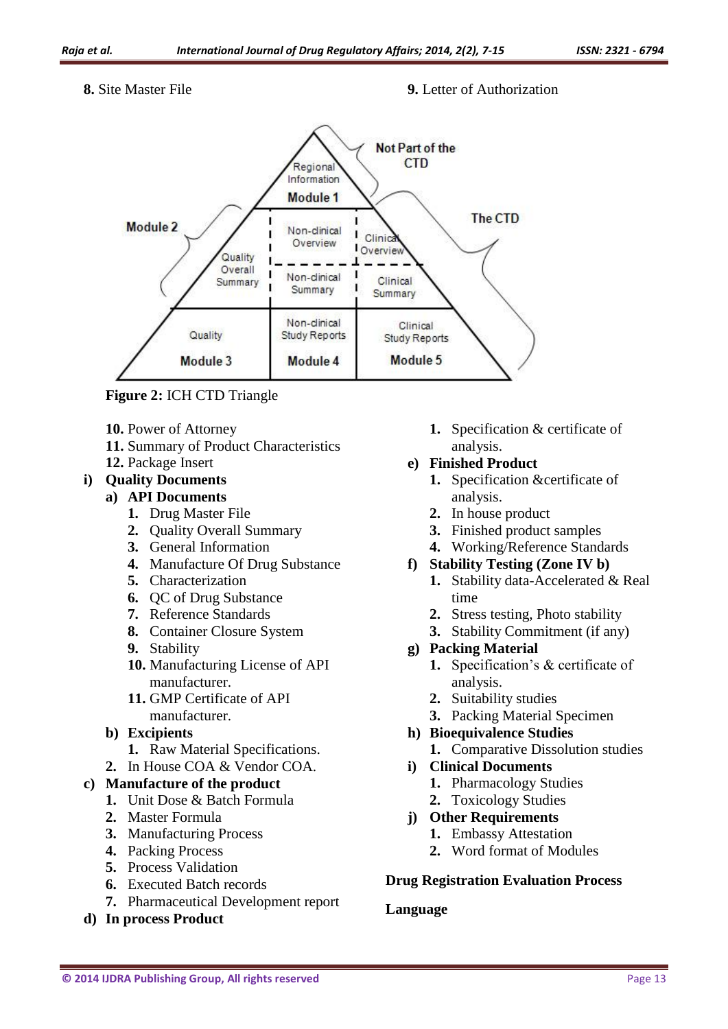#### **8.** Site Master File **9.** Letter of Authorization



**Figure 2:** ICH CTD Triangle

- **10.** Power of Attorney
- **11.** Summary of Product Characteristics
- **12.** Package Insert

## **i) Quality Documents**

### **a) API Documents**

- **1.** Drug Master File
- **2.** Quality Overall Summary
- **3.** General Information
- **4.** Manufacture Of Drug Substance
- **5.** Characterization
- **6.** QC of Drug Substance
- **7.** Reference Standards
- **8.** Container Closure System
- **9.** Stability
- **10.** Manufacturing License of API manufacturer.
- **11.** GMP Certificate of API manufacturer.
- **b) Excipients**
	- **1.** Raw Material Specifications.
- **2.** In House COA & Vendor COA.

## **c) Manufacture of the product**

- **1.** Unit Dose & Batch Formula
- **2.** Master Formula
- **3.** Manufacturing Process
- **4.** Packing Process
- **5.** Process Validation
- **6.** Executed Batch records
- **7.** Pharmaceutical Development report
- **d) In process Product**

**1.** Specification & certificate of analysis.

## **e) Finished Product**

- **1.** Specification &certificate of analysis.
- **2.** In house product
- **3.** Finished product samples
- **4.** Working/Reference Standards
- **f) Stability Testing (Zone IV b)**
	- **1.** Stability data-Accelerated & Real time
	- **2.** Stress testing, Photo stability
	- **3.** Stability Commitment (if any)
- **g) Packing Material** 
	- **1.** Specification's & certificate of analysis.
	- **2.** Suitability studies
	- **3.** Packing Material Specimen
- **h) Bioequivalence Studies** 
	- **1.** Comparative Dissolution studies
- **i) Clinical Documents**
	- **1.** Pharmacology Studies
	- **2.** Toxicology Studies
- **j) Other Requirements** 
	- **1.** Embassy Attestation
	- **2.** Word format of Modules

## **Drug Registration Evaluation Process**

### **Language**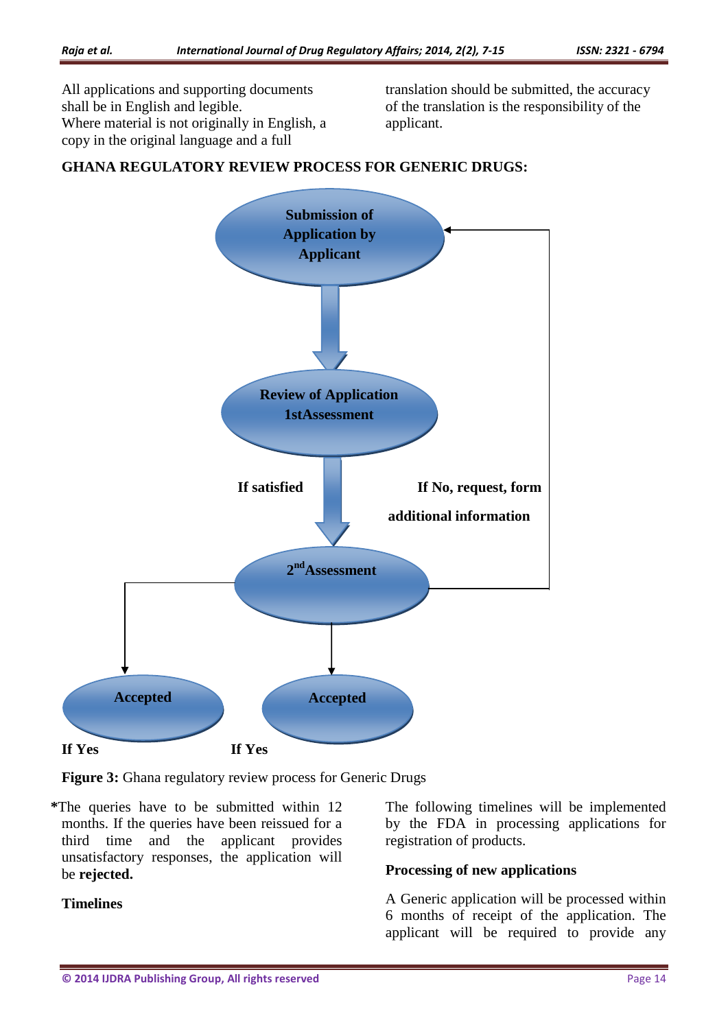All applications and supporting documents shall be in English and legible. Where material is not originally in English, a copy in the original language and a full

translation should be submitted, the accuracy of the translation is the responsibility of the applicant.



## **GHANA REGULATORY REVIEW PROCESS FOR GENERIC DRUGS:**

**Figure 3:** Ghana regulatory review process for Generic Drugs

**\***The queries have to be submitted within 12 months. If the queries have been reissued for a third time and the applicant provides unsatisfactory responses, the application will be **rejected.**

The following timelines will be implemented by the FDA in processing applications for registration of products.

### **Processing of new applications**

A Generic application will be processed within 6 months of receipt of the application. The applicant will be required to provide any

# **Timelines**